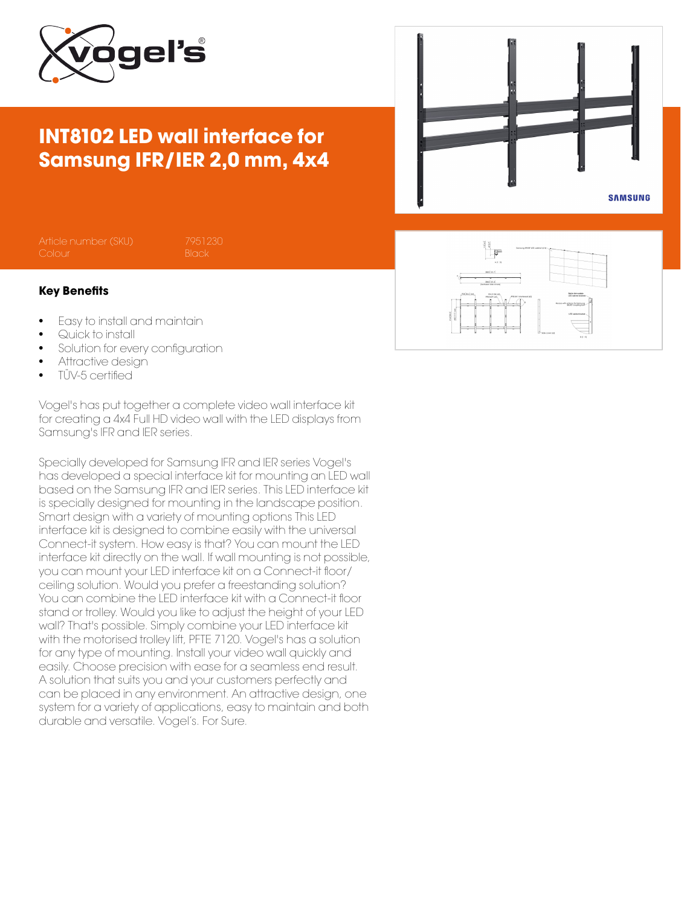

## INT8102 LED wall interface for Samsung IFR/IER 2,0 mm, 4x4



## Key Benefits

- Easy to install and maintain
- Quick to install
- Solution for every configuration
- Attractive design
- TÜV-5 certified

Vogel's has put together a complete video wall interface kit for creating a 4x4 Full HD video wall with the LED displays from Samsung's IFR and IER series.

Specially developed for Samsung IFR and IER series Vogel's has developed a special interface kit for mounting an LED wall based on the Samsung IFR and IER series. This LED interface kit is specially designed for mounting in the landscape position. Smart design with a variety of mounting options This LED interface kit is designed to combine easily with the universal Connect-it system. How easy is that? You can mount the LED interface kit directly on the wall. If wall mounting is not possible, you can mount your LED interface kit on a Connect-it floor/ ceiling solution. Would you prefer a freestanding solution? You can combine the LED interface kit with a Connect-it floor stand or trolley. Would you like to adjust the height of your LED wall? That's possible. Simply combine your LED interface kit with the motorised trolley lift, PFTE 7120. Vogel's has a solution for any type of mounting. Install your video wall quickly and easily. Choose precision with ease for a seamless end result. A solution that suits you and your customers perfectly and can be placed in any environment. An attractive design, one system for a variety of applications, easy to maintain and both durable and versatile. Vogel's. For Sure.